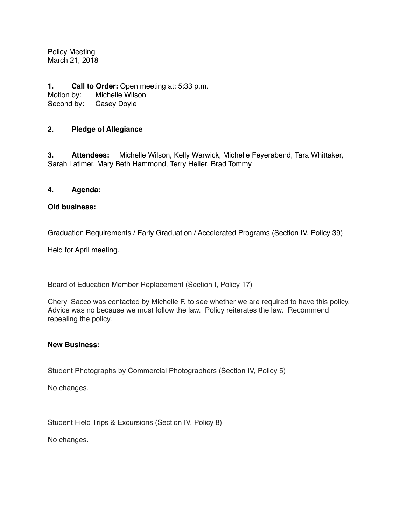Policy Meeting March 21, 2018

**1. Call to Order:** Open meeting at: 5:33 p.m.<br>Motion by: Michelle Wilson Michelle Wilson Second by: Casey Doyle

# **2. Pledge of Allegiance**

**3. Attendees:** Michelle Wilson, Kelly Warwick, Michelle Feyerabend, Tara Whittaker, Sarah Latimer, Mary Beth Hammond, Terry Heller, Brad Tommy

## **4. Agenda:**

### **Old business:**

Graduation Requirements / Early Graduation / Accelerated Programs (Section IV, Policy 39)

Held for April meeting.

Board of Education Member Replacement (Section I, Policy 17)

Cheryl Sacco was contacted by Michelle F. to see whether we are required to have this policy. Advice was no because we must follow the law. Policy reiterates the law. Recommend repealing the policy.

### **New Business:**

Student Photographs by Commercial Photographers (Section IV, Policy 5)

No changes.

Student Field Trips & Excursions (Section IV, Policy 8)

No changes.